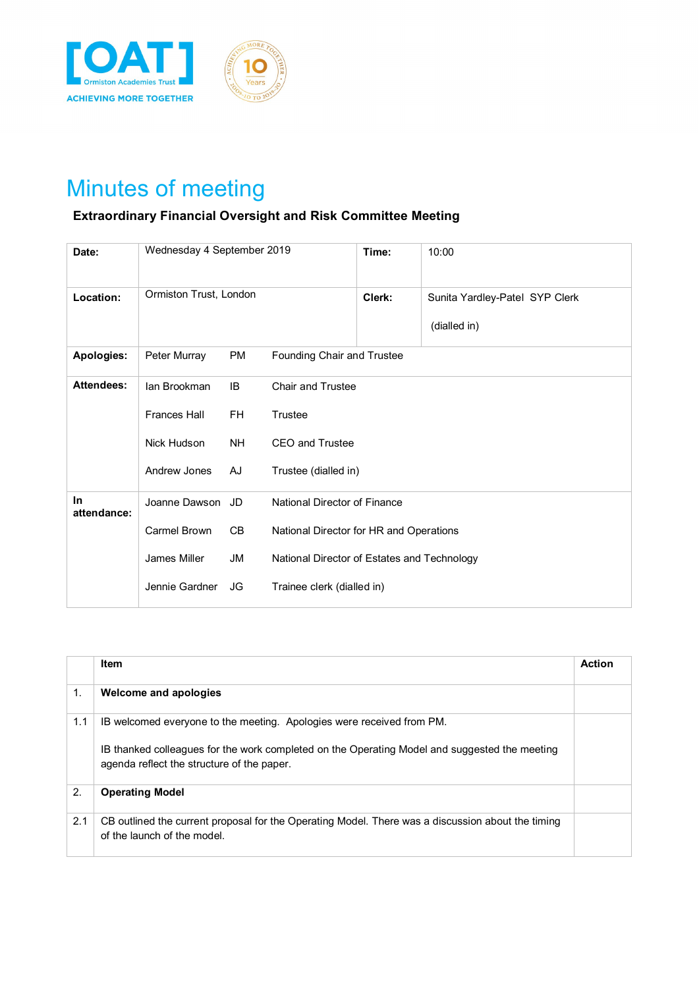

## Minutes of meeting

## **Extraordinary Financial Oversight and Risk Committee Meeting**

| Date:             | Wednesday 4 September 2019 |           |                                             | Time:  | 10:00                                          |  |  |
|-------------------|----------------------------|-----------|---------------------------------------------|--------|------------------------------------------------|--|--|
| Location:         | Ormiston Trust, London     |           |                                             | Clerk: | Sunita Yardley-Patel SYP Clerk<br>(dialled in) |  |  |
| Apologies:        | Peter Murray               | PM        | Founding Chair and Trustee                  |        |                                                |  |  |
| <b>Attendees:</b> | lan Brookman               | IB.       | <b>Chair and Trustee</b>                    |        |                                                |  |  |
|                   | <b>Frances Hall</b>        | <b>FH</b> | Trustee                                     |        |                                                |  |  |
|                   | Nick Hudson                | NH.       | <b>CEO and Trustee</b>                      |        |                                                |  |  |
|                   | Andrew Jones               | AJ        | Trustee (dialled in)                        |        |                                                |  |  |
| In<br>attendance: | Joanne Dawson JD           |           | National Director of Finance                |        |                                                |  |  |
|                   | Carmel Brown               | CB        | National Director for HR and Operations     |        |                                                |  |  |
|                   | James Miller               | JM        | National Director of Estates and Technology |        |                                                |  |  |
|                   | Jennie Gardner             | JG        | Trainee clerk (dialled in)                  |        |                                                |  |  |

|     | <b>Item</b>                                                                                                                                                                                                          | <b>Action</b> |
|-----|----------------------------------------------------------------------------------------------------------------------------------------------------------------------------------------------------------------------|---------------|
| 1.  | Welcome and apologies                                                                                                                                                                                                |               |
| 1.1 | IB welcomed everyone to the meeting. Apologies were received from PM.<br>IB thanked colleagues for the work completed on the Operating Model and suggested the meeting<br>agenda reflect the structure of the paper. |               |
| 2.  | <b>Operating Model</b>                                                                                                                                                                                               |               |
| 2.1 | CB outlined the current proposal for the Operating Model. There was a discussion about the timing<br>of the launch of the model.                                                                                     |               |